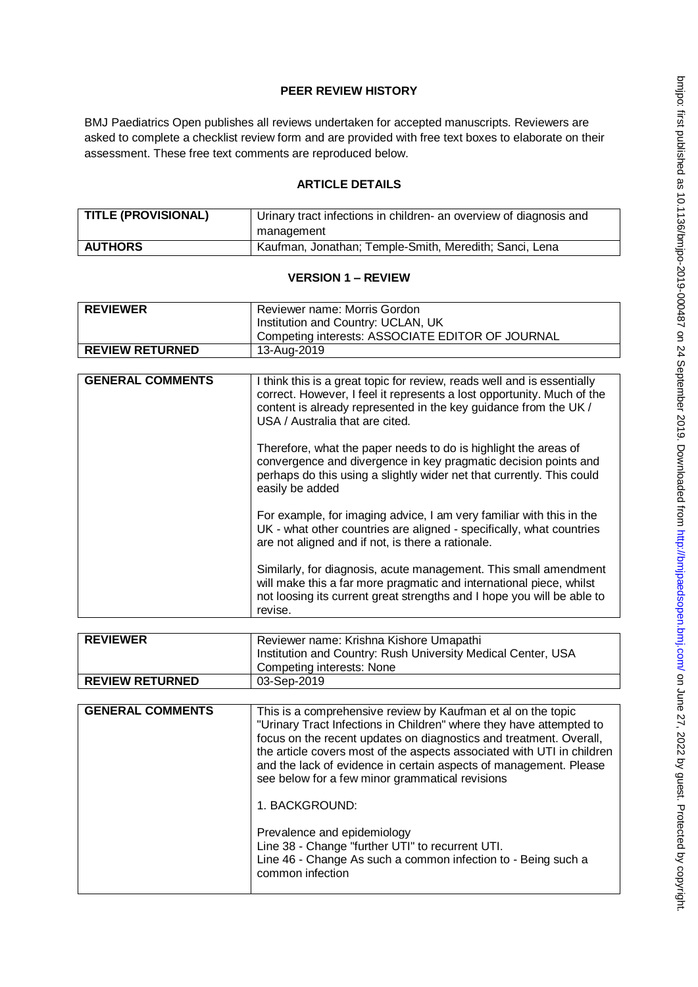# **PEER REVIEW HISTORY**

BMJ Paediatrics Open publishes all reviews undertaken for accepted manuscripts. Reviewers are asked to complete a checklist review form and are provided with free text boxes to elaborate on their assessment. These free text comments are reproduced below.

# **ARTICLE DETAILS**

| <b>TITLE (PROVISIONAL)</b> | Urinary tract infections in children- an overview of diagnosis and<br>management |
|----------------------------|----------------------------------------------------------------------------------|
| <b>AUTHORS</b>             | Kaufman, Jonathan; Temple-Smith, Meredith; Sanci, Lena                           |

# **VERSION 1 – REVIEW**

| <b>REVIEWER</b>        | Reviewer name: Morris Gordon<br>Institution and Country: UCLAN, UK |
|------------------------|--------------------------------------------------------------------|
|                        | ' Competing interests: ASSOCIATE EDITOR OF JOURNAL                 |
| <b>REVIEW RETURNED</b> | 13-Aug-2019                                                        |

| <b>GENERAL COMMENTS</b> | I think this is a great topic for review, reads well and is essentially<br>correct. However, I feel it represents a lost opportunity. Much of the<br>content is already represented in the key guidance from the UK /<br>USA / Australia that are cited. |
|-------------------------|----------------------------------------------------------------------------------------------------------------------------------------------------------------------------------------------------------------------------------------------------------|
|                         | Therefore, what the paper needs to do is highlight the areas of<br>convergence and divergence in key pragmatic decision points and<br>perhaps do this using a slightly wider net that currently. This could<br>easily be added                           |
|                         | For example, for imaging advice, I am very familiar with this in the<br>UK - what other countries are aligned - specifically, what countries<br>are not aligned and if not, is there a rationale.                                                        |
|                         | Similarly, for diagnosis, acute management. This small amendment<br>will make this a far more pragmatic and international piece, whilst<br>not loosing its current great strengths and I hope you will be able to<br>revise.                             |

| <b>REVIEWER</b>        | Reviewer name: Krishna Kishore Umapathi                      |
|------------------------|--------------------------------------------------------------|
|                        | Institution and Country: Rush University Medical Center, USA |
|                        | Competing interests: None                                    |
| <b>REVIEW RETURNED</b> | 03-Sep-2019                                                  |

| <b>GENERAL COMMENTS</b> | This is a comprehensive review by Kaufman et al on the topic<br>"Urinary Tract Infections in Children" where they have attempted to<br>focus on the recent updates on diagnostics and treatment. Overall,<br>the article covers most of the aspects associated with UTI in children<br>and the lack of evidence in certain aspects of management. Please<br>see below for a few minor grammatical revisions |
|-------------------------|-------------------------------------------------------------------------------------------------------------------------------------------------------------------------------------------------------------------------------------------------------------------------------------------------------------------------------------------------------------------------------------------------------------|
|                         | 1. BACKGROUND:                                                                                                                                                                                                                                                                                                                                                                                              |
|                         | Prevalence and epidemiology<br>Line 38 - Change "further UTI" to recurrent UTI.<br>Line 46 - Change As such a common infection to - Being such a<br>common infection                                                                                                                                                                                                                                        |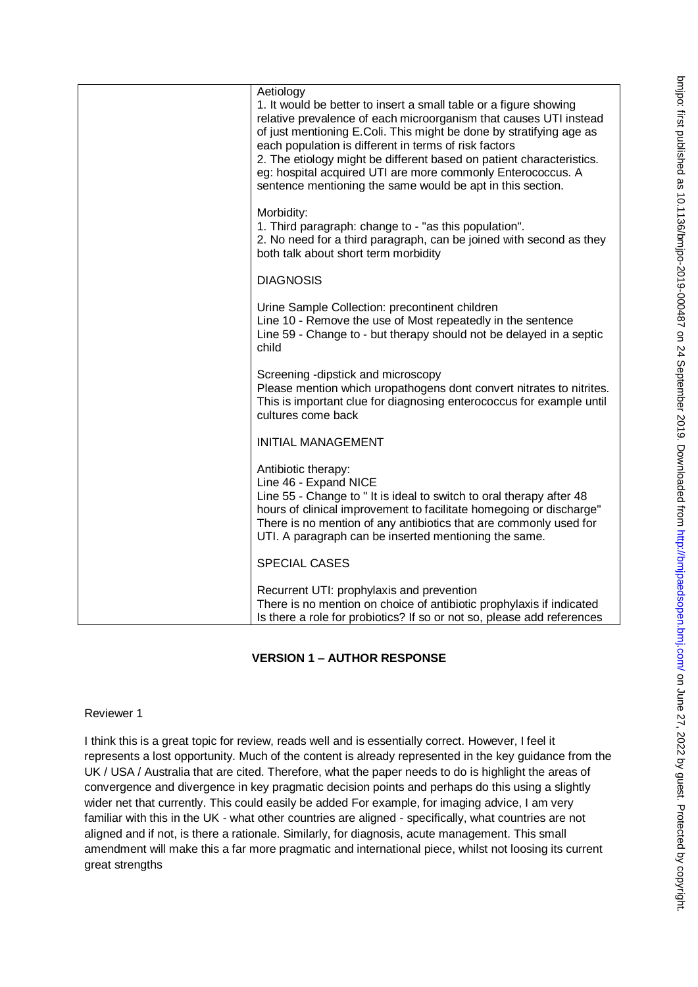| Aetiology<br>1. It would be better to insert a small table or a figure showing<br>relative prevalence of each microorganism that causes UTI instead<br>of just mentioning E.Coli. This might be done by stratifying age as<br>each population is different in terms of risk factors<br>2. The etiology might be different based on patient characteristics.<br>eg: hospital acquired UTI are more commonly Enterococcus. A<br>sentence mentioning the same would be apt in this section. |
|------------------------------------------------------------------------------------------------------------------------------------------------------------------------------------------------------------------------------------------------------------------------------------------------------------------------------------------------------------------------------------------------------------------------------------------------------------------------------------------|
| Morbidity:<br>1. Third paragraph: change to - "as this population".<br>2. No need for a third paragraph, can be joined with second as they<br>both talk about short term morbidity                                                                                                                                                                                                                                                                                                       |
| <b>DIAGNOSIS</b>                                                                                                                                                                                                                                                                                                                                                                                                                                                                         |
| Urine Sample Collection: precontinent children<br>Line 10 - Remove the use of Most repeatedly in the sentence<br>Line 59 - Change to - but therapy should not be delayed in a septic<br>child                                                                                                                                                                                                                                                                                            |
| Screening -dipstick and microscopy<br>Please mention which uropathogens dont convert nitrates to nitrites.<br>This is important clue for diagnosing enterococcus for example until<br>cultures come back                                                                                                                                                                                                                                                                                 |
| <b>INITIAL MANAGEMENT</b>                                                                                                                                                                                                                                                                                                                                                                                                                                                                |
| Antibiotic therapy:<br>Line 46 - Expand NICE<br>Line 55 - Change to "It is ideal to switch to oral therapy after 48<br>hours of clinical improvement to facilitate homegoing or discharge"<br>There is no mention of any antibiotics that are commonly used for<br>UTI. A paragraph can be inserted mentioning the same.                                                                                                                                                                 |
| <b>SPECIAL CASES</b>                                                                                                                                                                                                                                                                                                                                                                                                                                                                     |
| Recurrent UTI: prophylaxis and prevention<br>There is no mention on choice of antibiotic prophylaxis if indicated<br>Is there a role for probiotics? If so or not so, please add references                                                                                                                                                                                                                                                                                              |

# **VERSION 1 – AUTHOR RESPONSE**

# Reviewer 1

I think this is a great topic for review, reads well and is essentially correct. However, I feel it represents a lost opportunity. Much of the content is already represented in the key guidance from the UK / USA / Australia that are cited. Therefore, what the paper needs to do is highlight the areas of convergence and divergence in key pragmatic decision points and perhaps do this using a slightly wider net that currently. This could easily be added For example, for imaging advice, I am very familiar with this in the UK - what other countries are aligned - specifically, what countries are not aligned and if not, is there a rationale. Similarly, for diagnosis, acute management. This small amendment will make this a far more pragmatic and international piece, whilst not loosing its current great strengths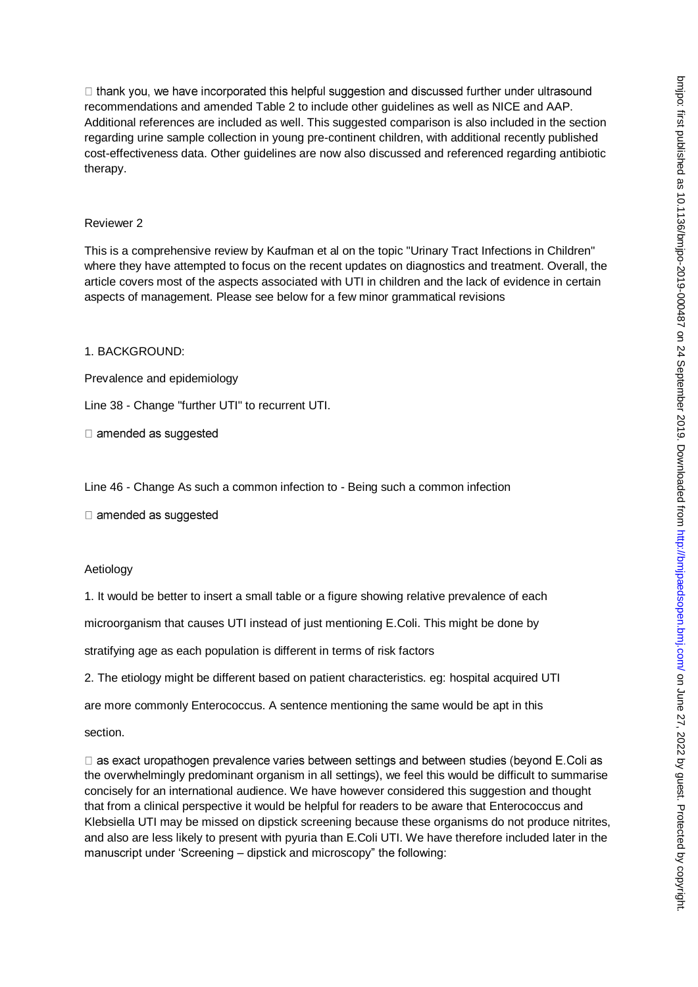$\Box$  thank you, we have incorporated this helpful suggestion and discussed further under ultrasound recommendations and amended Table 2 to include other guidelines as well as NICE and AAP. Additional references are included as well. This suggested comparison is also included in the section regarding urine sample collection in young pre-continent children, with additional recently published cost-effectiveness data. Other guidelines are now also discussed and referenced regarding antibiotic therapy.

### Reviewer 2

This is a comprehensive review by Kaufman et al on the topic "Urinary Tract Infections in Children" where they have attempted to focus on the recent updates on diagnostics and treatment. Overall, the article covers most of the aspects associated with UTI in children and the lack of evidence in certain aspects of management. Please see below for a few minor grammatical revisions

# 1. BACKGROUND:

Prevalence and epidemiology

Line 38 - Change "further UTI" to recurrent UTI.

 $\Box$  amended as suggested

Line 46 - Change As such a common infection to - Being such a common infection

 $\Box$  amended as suggested

### Aetiology

1. It would be better to insert a small table or a figure showing relative prevalence of each

microorganism that causes UTI instead of just mentioning E.Coli. This might be done by

stratifying age as each population is different in terms of risk factors

2. The etiology might be different based on patient characteristics. eg: hospital acquired UTI

are more commonly Enterococcus. A sentence mentioning the same would be apt in this

section.

□ as exact uropathogen prevalence varies between settings and between studies (beyond E.Coli as the overwhelmingly predominant organism in all settings), we feel this would be difficult to summarise concisely for an international audience. We have however considered this suggestion and thought that from a clinical perspective it would be helpful for readers to be aware that Enterococcus and Klebsiella UTI may be missed on dipstick screening because these organisms do not produce nitrites, and also are less likely to present with pyuria than E.Coli UTI. We have therefore included later in the manuscript under 'Screening – dipstick and microscopy" the following: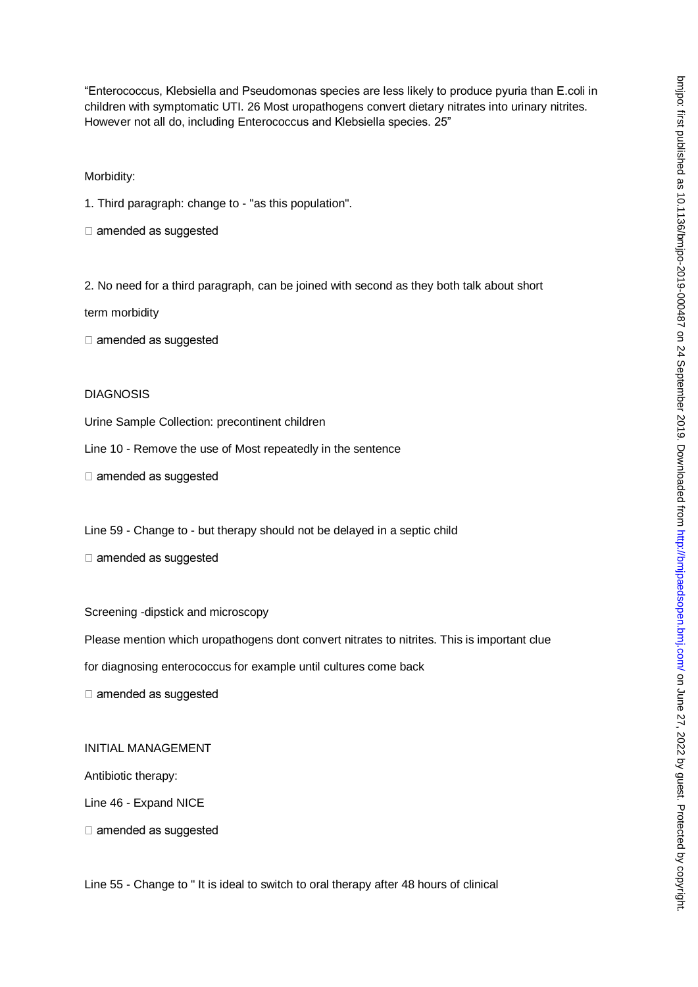"Enterococcus, Klebsiella and Pseudomonas species are less likely to produce pyuria than E.coli in children with symptomatic UTI. 26 Most uropathogens convert dietary nitrates into urinary nitrites. However not all do, including Enterococcus and Klebsiella species. 25"

Morbidity:

1. Third paragraph: change to - "as this population".

□ amended as suggested

2. No need for a third paragraph, can be joined with second as they both talk about short

term morbidity

□ amended as suggested

DIAGNOSIS

Urine Sample Collection: precontinent children

Line 10 - Remove the use of Most repeatedly in the sentence

 $\Box$  amended as suggested

Line 59 - Change to - but therapy should not be delayed in a septic child

 $\Box$  amended as suggested

Screening -dipstick and microscopy

Please mention which uropathogens dont convert nitrates to nitrites. This is important clue

for diagnosing enterococcus for example until cultures come back

□ amended as suggested

INITIAL MANAGEMENT

Antibiotic therapy:

Line 46 - Expand NICE

□ amended as suggested

Line 55 - Change to " It is ideal to switch to oral therapy after 48 hours of clinical